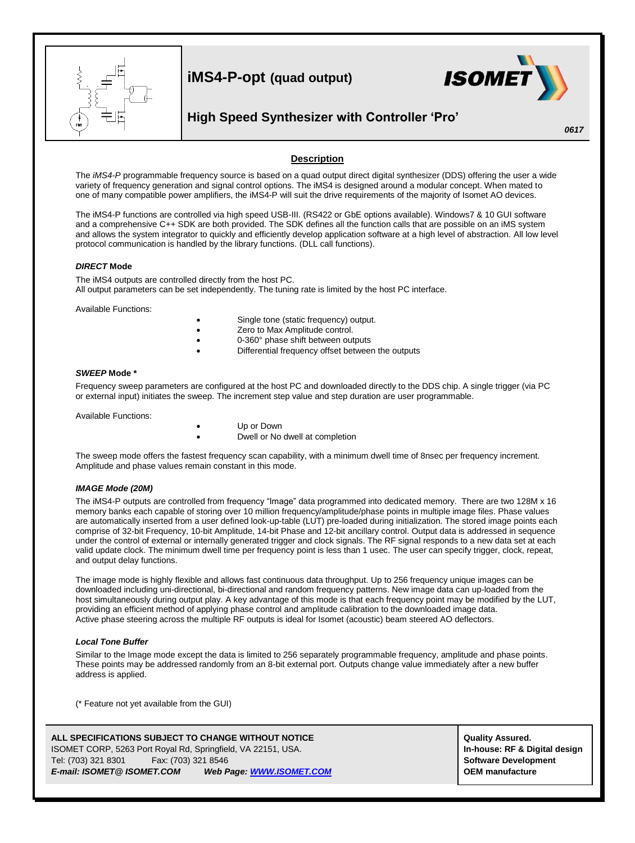

 $\overline{a}$ 

**iMS4-P-opt (quad output)**



## **High Speed Synthesizer with Controller 'Pro'**

*0617*

## **Description**

The *iMS4-P* programmable frequency source is based on a quad output direct digital synthesizer (DDS) offering the user a wide variety of frequency generation and signal control options. The iMS4 is designed around a modular concept. When mated to one of many compatible power amplifiers, the iMS4-P will suit the drive requirements of the majority of Isomet AO devices.

The iMS4-P functions are controlled via high speed USB-III. (RS422 or GbE options available). Windows7 & 10 GUI software and a comprehensive C++ SDK are both provided. The SDK defines all the function calls that are possible on an iMS system and allows the system integrator to quickly and efficiently develop application software at a high level of abstraction. All low level protocol communication is handled by the library functions. (DLL call functions).

#### *DIRECT* **Mode**

The iMS4 outputs are controlled directly from the host PC. All output parameters can be set independently. The tuning rate is limited by the host PC interface.

Available Functions:

- Single tone (static frequency) output.
- Zero to Max Amplitude control.
- 0-360° phase shift between outputs
- Differential frequency offset between the outputs

#### *SWEEP* **Mode \***

Frequency sweep parameters are configured at the host PC and downloaded directly to the DDS chip. A single trigger (via PC or external input) initiates the sweep. The increment step value and step duration are user programmable.

Available Functions:

- Up or Down
	- Dwell or No dwell at completion

The sweep mode offers the fastest frequency scan capability, with a minimum dwell time of 8nsec per frequency increment. Amplitude and phase values remain constant in this mode.

#### *IMAGE Mode (20M)*

The iMS4-P outputs are controlled from frequency "Image" data programmed into dedicated memory. There are two 128M x 16 memory banks each capable of storing over 10 million frequency/amplitude/phase points in multiple image files. Phase values are automatically inserted from a user defined look-up-table (LUT) pre-loaded during initialization. The stored image points each comprise of 32-bit Frequency, 10-bit Amplitude, 14-bit Phase and 12-bit ancillary control. Output data is addressed in sequence under the control of external or internally generated trigger and clock signals. The RF signal responds to a new data set at each valid update clock. The minimum dwell time per frequency point is less than 1 usec. The user can specify trigger, clock, repeat, and output delay functions.

The image mode is highly flexible and allows fast continuous data throughput. Up to 256 frequency unique images can be downloaded including uni-directional, bi-directional and random frequency patterns. New image data can up-loaded from the host simultaneously during output play. A key advantage of this mode is that each frequency point may be modified by the LUT, providing an efficient method of applying phase control and amplitude calibration to the downloaded image data. Active phase steering across the multiple RF outputs is ideal for Isomet (acoustic) beam steered AO deflectors.

#### *Local Tone Buffer*

Similar to the Image mode except the data is limited to 256 separately programmable frequency, amplitude and phase points. These points may be addressed randomly from an 8-bit external port. Outputs change value immediately after a new buffer address is applied.

(\* Feature not yet available from the GUI)

| ALL SPECIFICATIONS SUBJECT TO CHANGE WITHOUT NOTICE          |                     |  |                          |  |
|--------------------------------------------------------------|---------------------|--|--------------------------|--|
| ISOMET CORP, 5263 Port Royal Rd, Springfield, VA 22151, USA. |                     |  |                          |  |
| Tel: (703) 321 8301                                          | Fax: (703) 321 8546 |  |                          |  |
| E-mail: ISOMET@ ISOMET.COM                                   |                     |  | Web Page: WWW.ISOMET.COM |  |

**Quality Assured.** In-house: RF & Digital design **Software Development** *E-mail: ISOMET@ ISOMET.COM Web Page[: WWW.ISOMET.COM](http://www.isomet.com/)* **OEM manufacture**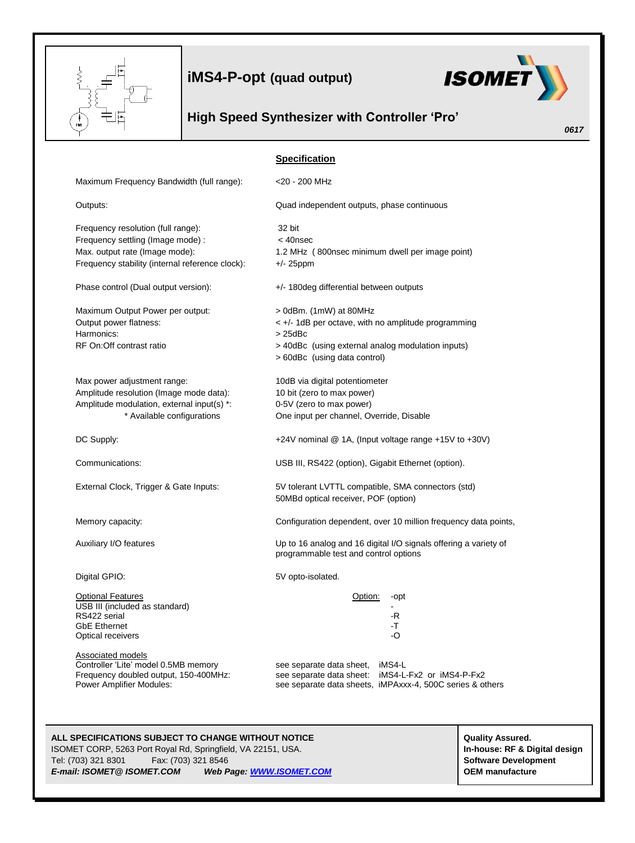

**iMS4-P-opt (quad output)**



# **High Speed Synthesizer with Controller 'Pro'**

|                                                                               | 0617                                                                                                      |  |
|-------------------------------------------------------------------------------|-----------------------------------------------------------------------------------------------------------|--|
|                                                                               | <b>Specification</b>                                                                                      |  |
| Maximum Frequency Bandwidth (full range):                                     | <20 - 200 MHz                                                                                             |  |
| Outputs:                                                                      | Quad independent outputs, phase continuous                                                                |  |
| Frequency resolution (full range):                                            | 32 bit                                                                                                    |  |
| Frequency settling (Image mode) :                                             | $<$ 40 $n$ sec                                                                                            |  |
| Max. output rate (Image mode):                                                | 1.2 MHz (800nsec minimum dwell per image point)                                                           |  |
| Frequency stability (internal reference clock):                               | $+/- 25$ ppm                                                                                              |  |
| Phase control (Dual output version):                                          | +/- 180deg differential between outputs                                                                   |  |
| Maximum Output Power per output:                                              | > 0dBm. (1mW) at 80MHz                                                                                    |  |
| Output power flatness:                                                        | < +/- 1dB per octave, with no amplitude programming                                                       |  |
| Harmonics:                                                                    | $>25$ d $Bc$                                                                                              |  |
| RF On: Off contrast ratio                                                     | > 40dBc (using external analog modulation inputs)                                                         |  |
|                                                                               | > 60dBc (using data control)                                                                              |  |
| Max power adjustment range:                                                   | 10dB via digital potentiometer                                                                            |  |
| Amplitude resolution (Image mode data):                                       | 10 bit (zero to max power)                                                                                |  |
| Amplitude modulation, external input(s) *:                                    | 0-5V (zero to max power)                                                                                  |  |
| * Available configurations                                                    | One input per channel, Override, Disable                                                                  |  |
| DC Supply:                                                                    | +24V nominal @ 1A, (Input voltage range +15V to +30V)                                                     |  |
| Communications:                                                               | USB III, RS422 (option), Gigabit Ethernet (option).                                                       |  |
| External Clock, Trigger & Gate Inputs:                                        | 5V tolerant LVTTL compatible, SMA connectors (std)<br>50MBd optical receiver, POF (option)                |  |
| Memory capacity:                                                              | Configuration dependent, over 10 million frequency data points,                                           |  |
| Auxiliary I/O features                                                        | Up to 16 analog and 16 digital I/O signals offering a variety of<br>programmable test and control options |  |
| Digital GPIO:                                                                 | 5V opto-isolated.                                                                                         |  |
| <b>Optional Features</b>                                                      | Option:<br>-opt                                                                                           |  |
| USB III (included as standard)                                                |                                                                                                           |  |
| RS422 serial                                                                  | $-R$                                                                                                      |  |
| <b>GbE Ethernet</b><br>Optical receivers                                      | $-T$<br>-O                                                                                                |  |
|                                                                               |                                                                                                           |  |
| <b>Associated models</b>                                                      |                                                                                                           |  |
| Controller 'Lite' model 0.5MB memory<br>Frequency doubled output, 150-400MHz: | iMS4-L<br>see separate data sheet,<br>see separate data sheet: iMS4-L-Fx2 or iMS4-P-Fx2                   |  |
| Power Amplifier Modules:                                                      | see separate data sheets, iMPAxxx-4, 500C series & others                                                 |  |
|                                                                               |                                                                                                           |  |

### **ALL SPECIFICATIONS SUBJECT TO CHANGE WITHOUT NOTICE ALL SPECIFICATIONS SUBJECT TO CHANGE WITHOUT NOTICE**

ISOMET CORP, 5263 Port Royal Rd, Springfield, VA 22151, USA. **In-house: RF & Digital design** Tel: (703) 321 8301 Fax: (703) 321 8546 **Software Development** *E-mail: ISOMET@ ISOMET.COM Web Page[: WWW.ISOMET.COM](http://www.isomet.com/)* **OEM manufacture**